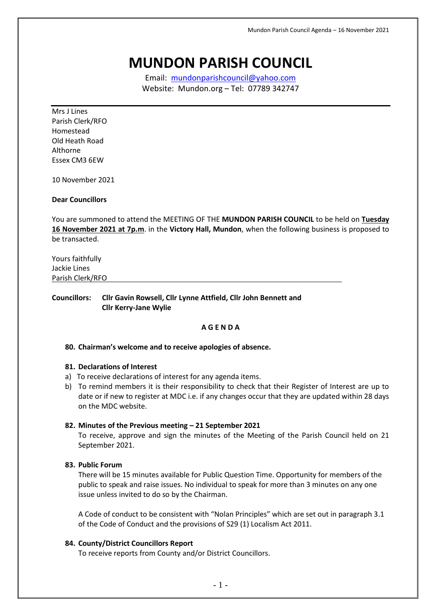# **MUNDON PARISH COUNCIL**

Email: [mundonparishcouncil@yahoo.com](mailto:mundonparishcouncil@yahoo.com) Website: Mundon.org – Tel: 07789 342747

Mrs J Lines Parish Clerk/RFO Homestead Old Heath Road Althorne Essex CM3 6EW

10 November 2021

# **Dear Councillors**

You are summoned to attend the MEETING OF THE **MUNDON PARISH COUNCIL** to be held on **Tuesday 16 November 2021 at 7p.m**. in the **Victory Hall, Mundon**, when the following business is proposed to be transacted.

Yours faithfully Jackie Lines Parish Clerk/RFO

**Councillors: Cllr Gavin Rowsell, Cllr Lynne Attfield, Cllr John Bennett and Cllr Kerry-Jane Wylie**

#### **A G E N D A**

#### **80. Chairman's welcome and to receive apologies of absence.**

#### **81. Declarations of Interest**

- a) To receive declarations of interest for any agenda items.
- b) To remind members it is their responsibility to check that their Register of Interest are up to date or if new to register at MDC i.e. if any changes occur that they are updated within 28 days on the MDC website.

#### **82. Minutes of the Previous meeting – 21 September 2021**

To receive, approve and sign the minutes of the Meeting of the Parish Council held on 21 September 2021.

#### **83. Public Forum**

There will be 15 minutes available for Public Question Time. Opportunity for members of the public to speak and raise issues. No individual to speak for more than 3 minutes on any one issue unless invited to do so by the Chairman.

A Code of conduct to be consistent with "Nolan Principles" which are set out in paragraph 3.1 of the Code of Conduct and the provisions of S29 (1) Localism Act 2011.

#### **84. County/District Councillors Report**

To receive reports from County and/or District Councillors.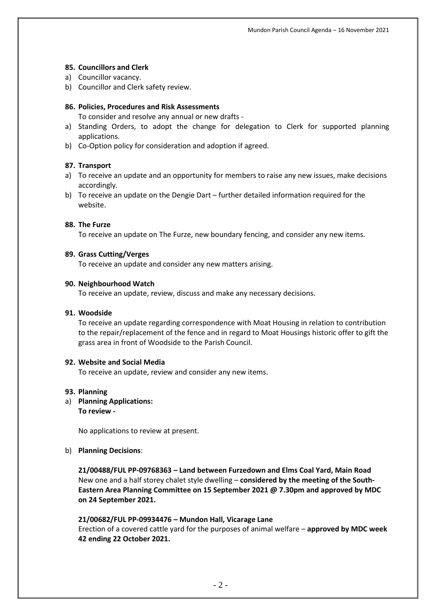# **85. Councillors and Clerk**

- a) Councillor vacancy.
- b) Councillor and Clerk safety review.

# **86. Policies, Procedures and Risk Assessments**

To consider and resolve any annual or new drafts -

- a) Standing Orders, to adopt the change for delegation to Clerk for supported planning applications.
- b) Co-Option policy for consideration and adoption if agreed.

# **87. Transport**

- a) To receive an update and an opportunity for members to raise any new issues, make decisions accordingly.
- b) To receive an update on the Dengie Dart further detailed information required for the website.

# **88. The Furze**

To receive an update on The Furze, new boundary fencing, and consider any new items.

# **89. Grass Cutting/Verges**

To receive an update and consider any new matters arising.

## **90. Neighbourhood Watch**

To receive an update, review, discuss and make any necessary decisions.

## **91. Woodside**

To receive an update regarding correspondence with Moat Housing in relation to contribution to the repair/replacement of the fence and in regard to Moat Housings historic offer to gift the grass area in front of Woodside to the Parish Council.

## **92. Website and Social Media**

To receive an update, review and consider any new items.

## **93. Planning**

a) **Planning Applications:**

**To review -**

No applications to review at present.

## b) **Planning Decisions**:

**21/00488/FUL PP-09768363 – Land between Furzedown and Elms Coal Yard, Main Road** New one and a half storey chalet style dwelling – **considered by the meeting of the South-Eastern Area Planning Committee on 15 September 2021 @ 7.30pm and approved by MDC on 24 September 2021.**

# **21/00682/FUL PP-09934476 – Mundon Hall, Vicarage Lane**

Erection of a covered cattle yard for the purposes of animal welfare – **approved by MDC week 42 ending 22 October 2021.**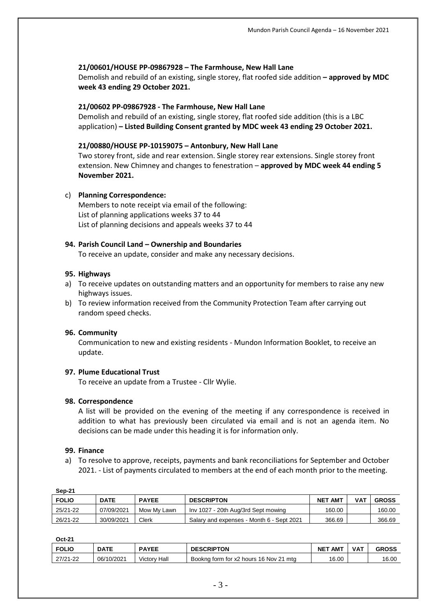# **21/00601/HOUSE PP-09867928 – The Farmhouse, New Hall Lane**

Demolish and rebuild of an existing, single storey, flat roofed side addition **– approved by MDC week 43 ending 29 October 2021.**

# **21/00602 PP-09867928 - The Farmhouse, New Hall Lane**

Demolish and rebuild of an existing, single storey, flat roofed side addition (this is a LBC application) **– Listed Building Consent granted by MDC week 43 ending 29 October 2021.**

# **21/00880/HOUSE PP-10159075 – Antonbury, New Hall Lane**

Two storey front, side and rear extension. Single storey rear extensions. Single storey front extension. New Chimney and changes to fenestration – **approved by MDC week 44 ending 5 November 2021.**

## c) **Planning Correspondence:**

Members to note receipt via email of the following: List of planning applications weeks 37 to 44 List of planning decisions and appeals weeks 37 to 44

# **94. Parish Council Land – Ownership and Boundaries**

To receive an update, consider and make any necessary decisions.

## **95. Highways**

- a) To receive updates on outstanding matters and an opportunity for members to raise any new highways issues.
- b) To review information received from the Community Protection Team after carrying out random speed checks.

## **96. Community**

Communication to new and existing residents - Mundon Information Booklet, to receive an update.

# **97. Plume Educational Trust**

To receive an update from a Trustee - Cllr Wylie.

## **98. Correspondence**

A list will be provided on the evening of the meeting if any correspondence is received in addition to what has previously been circulated via email and is not an agenda item. No decisions can be made under this heading it is for information only.

## **99. Finance**

a) To resolve to approve, receipts, payments and bank reconciliations for September and October 2021. - List of payments circulated to members at the end of each month prior to the meeting.

| Sep-21       |             |              |                                           |                |     |              |  |  |
|--------------|-------------|--------------|-------------------------------------------|----------------|-----|--------------|--|--|
| <b>FOLIO</b> | <b>DATE</b> | <b>PAYEE</b> | <b>DESCRIPTON</b>                         | <b>NET AMT</b> | VAT | <b>GROSS</b> |  |  |
| 25/21-22     | 07/09/2021  | Mow My Lawn  | Inv 1027 - 20th Aug/3rd Sept mowing       | 160.00         |     | 160.00       |  |  |
| 26/21-22     | 30/09/2021  | Clerk        | Salary and expenses - Month 6 - Sept 2021 | 366.69         |     | 366.69       |  |  |

**Oct-21**

| <b>FOLIO</b> | <b>DATE</b> | <b>PAYEE</b> | <b>DESCRIPTON</b>                      | <b>AMT</b><br><b>NET</b> | VAT | <b>GROSS</b> |
|--------------|-------------|--------------|----------------------------------------|--------------------------|-----|--------------|
| 27/21-22     | 06/10/2021  | Victory Hall | Bookng form for x2 hours 16 Nov 21 mtg | 16.00                    |     | 16.00        |